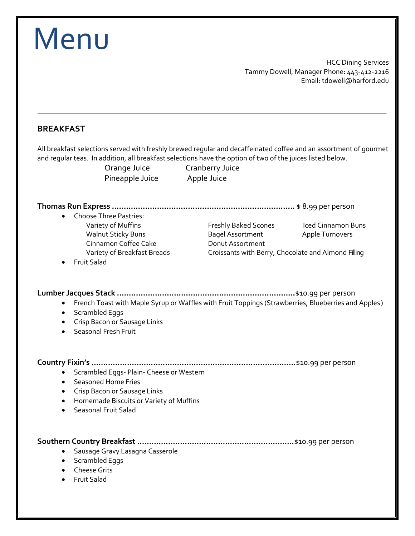| Menu                                                                                                                                                                                                                                                               |                                                                                                                            |                                                                                                       |
|--------------------------------------------------------------------------------------------------------------------------------------------------------------------------------------------------------------------------------------------------------------------|----------------------------------------------------------------------------------------------------------------------------|-------------------------------------------------------------------------------------------------------|
|                                                                                                                                                                                                                                                                    |                                                                                                                            | <b>HCC Dining Services</b><br>Tammy Dowell, Manager Phone: 443-412-2216<br>Email: tdowell@harford.edu |
| <b>BREAKFAST</b>                                                                                                                                                                                                                                                   |                                                                                                                            |                                                                                                       |
| All breakfast selections served with freshly brewed regular and decaffeinated coffee and an assortment of gourmet<br>and regular teas. In addition, all breakfast selections have the option of two of the juices listed below.<br>Orange Juice<br>Pineapple Juice | <b>Cranberry Juice</b><br>Apple Juice                                                                                      |                                                                                                       |
|                                                                                                                                                                                                                                                                    |                                                                                                                            |                                                                                                       |
| <b>Choose Three Pastries:</b><br>Variety of Muffins<br><b>Walnut Sticky Buns</b><br>Cinnamon Coffee Cake<br>Variety of Breakfast Breads                                                                                                                            | Freshly Baked Scones<br><b>Bagel Assortment</b><br>Donut Assortment<br>Croissants with Berry, Chocolate and Almond Filling | <b>Iced Cinnamon Buns</b><br><b>Apple Turnovers</b>                                                   |
| Scrambled Eggs<br>Crisp Bacon or Sausage Links<br>Seasonal Fresh Fruit                                                                                                                                                                                             | French Toast with Maple Syrup or Waffles with Fruit Toppings (Strawberries, Blueberries and Apples)                        |                                                                                                       |
| Scrambled Eggs- Plain- Cheese or Western<br>٠                                                                                                                                                                                                                      |                                                                                                                            |                                                                                                       |
| Seasoned Home Fries<br>$\bullet$<br>Crisp Bacon or Sausage Links<br>٠<br>Homemade Biscuits or Variety of Muffins<br>$\bullet$<br>Seasonal Fruit Salad                                                                                                              |                                                                                                                            |                                                                                                       |
| Sausage Gravy Lasagna Casserole<br>٠<br>Scrambled Eggs<br>٠<br>• Cheese Grits                                                                                                                                                                                      |                                                                                                                            |                                                                                                       |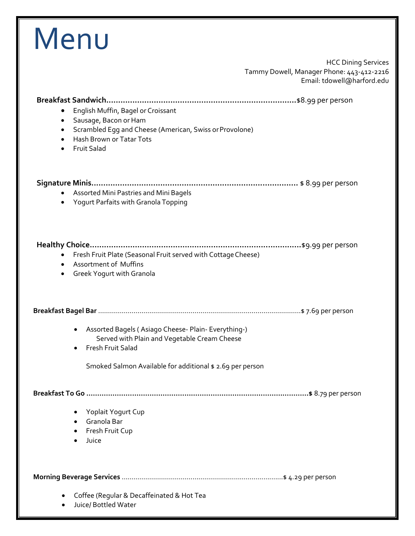| Menu                                                                                                                                                                                                                         |
|------------------------------------------------------------------------------------------------------------------------------------------------------------------------------------------------------------------------------|
| <b>HCC Dining Services</b><br>Tammy Dowell, Manager Phone: 443-412-2216<br>Email: tdowell@harford.edu                                                                                                                        |
| English Muffin, Bagel or Croissant<br>Sausage, Bacon or Ham<br>$\bullet$<br>Scrambled Egg and Cheese (American, Swiss or Provolone)<br>$\bullet$<br>Hash Brown or Tatar Tots<br>$\bullet$<br><b>Fruit Salad</b><br>$\bullet$ |
| Assorted Mini Pastries and Mini Bagels<br>Yogurt Parfaits with Granola Topping                                                                                                                                               |
| Fresh Fruit Plate (Seasonal Fruit served with Cottage Cheese)<br>$\bullet$<br><b>Assortment of Muffins</b><br>Greek Yogurt with Granola                                                                                      |
|                                                                                                                                                                                                                              |
| Assorted Bagels (Asiago Cheese- Plain- Everything-)<br>Served with Plain and Vegetable Cream Cheese<br><b>Fresh Fruit Salad</b><br>Smoked Salmon Available for additional \$ 2.69 per person                                 |
|                                                                                                                                                                                                                              |
| Yoplait Yogurt Cup<br>• Granola Bar<br>Fresh Fruit Cup<br>Juice                                                                                                                                                              |
|                                                                                                                                                                                                                              |
| Coffee (Regular & Decaffeinated & Hot Tea<br>Juice/ Bottled Water                                                                                                                                                            |